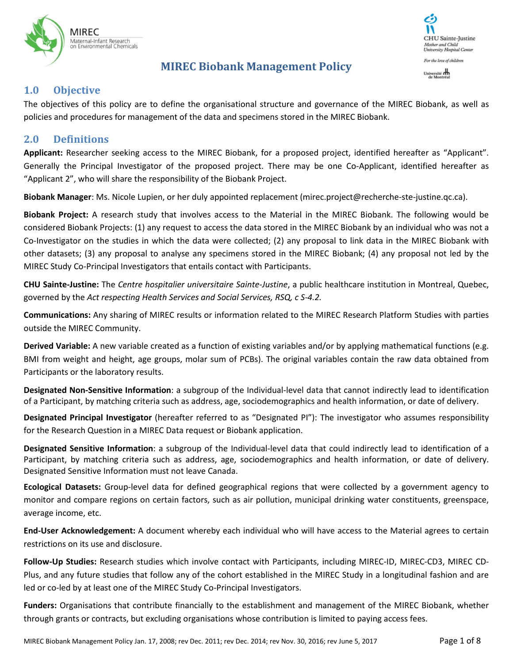

# **MIREC Biobank Management Policy**



# **1.0 Objective**

The objectives of this policy are to define the organisational structure and governance of the MIREC Biobank, as well as policies and procedures for management of the data and specimens stored in the MIREC Biobank.

## **2.0 Definitions**

**Applicant:** Researcher seeking access to the MIREC Biobank, for a proposed project, identified hereafter as "Applicant". Generally the Principal Investigator of the proposed project. There may be one Co-Applicant, identified hereafter as "Applicant 2", who will share the responsibility of the Biobank Project.

**Biobank Manager**: Ms. Nicole Lupien, or her duly appointed replacement (mirec.project@recherche-ste-justine.qc.ca).

**Biobank Project:** A research study that involves access to the Material in the MIREC Biobank. The following would be considered Biobank Projects: (1) any request to access the data stored in the MIREC Biobank by an individual who was not a Co-Investigator on the studies in which the data were collected; (2) any proposal to link data in the MIREC Biobank with other datasets; (3) any proposal to analyse any specimens stored in the MIREC Biobank; (4) any proposal not led by the MIREC Study Co-Principal Investigators that entails contact with Participants.

**CHU Sainte-Justine:** The *Centre hospitalier universitaire Sainte-Justine*, a public healthcare institution in Montreal, Quebec, governed by the *Act respecting Health Services and Social Services, RSQ, c S-4.2.*

**Communications:** Any sharing of MIREC results or information related to the MIREC Research Platform Studies with parties outside the MIREC Community.

**Derived Variable:** A new variable created as a function of existing variables and/or by applying mathematical functions (e.g. BMI from weight and height, age groups, molar sum of PCBs). The original variables contain the raw data obtained from Participants or the laboratory results.

**Designated Non-Sensitive Information**: a subgroup of the Individual-level data that cannot indirectly lead to identification of a Participant, by matching criteria such as address, age, sociodemographics and health information, or date of delivery.

**Designated Principal Investigator** (hereafter referred to as "Designated PI"): The investigator who assumes responsibility for the Research Question in a MIREC Data request or Biobank application.

**Designated Sensitive Information**: a subgroup of the Individual-level data that could indirectly lead to identification of a Participant, by matching criteria such as address, age, sociodemographics and health information, or date of delivery. Designated Sensitive Information must not leave Canada.

**Ecological Datasets:** Group-level data for defined geographical regions that were collected by a government agency to monitor and compare regions on certain factors, such as air pollution, municipal drinking water constituents, greenspace, average income, etc.

**End-User Acknowledgement:** A document whereby each individual who will have access to the Material agrees to certain restrictions on its use and disclosure.

**Follow-Up Studies:** Research studies which involve contact with Participants, including MIREC-ID, MIREC-CD3, MIREC CD-Plus, and any future studies that follow any of the cohort established in the MIREC Study in a longitudinal fashion and are led or co-led by at least one of the MIREC Study Co-Principal Investigators.

**Funders:** Organisations that contribute financially to the establishment and management of the MIREC Biobank, whether through grants or contracts, but excluding organisations whose contribution is limited to paying access fees.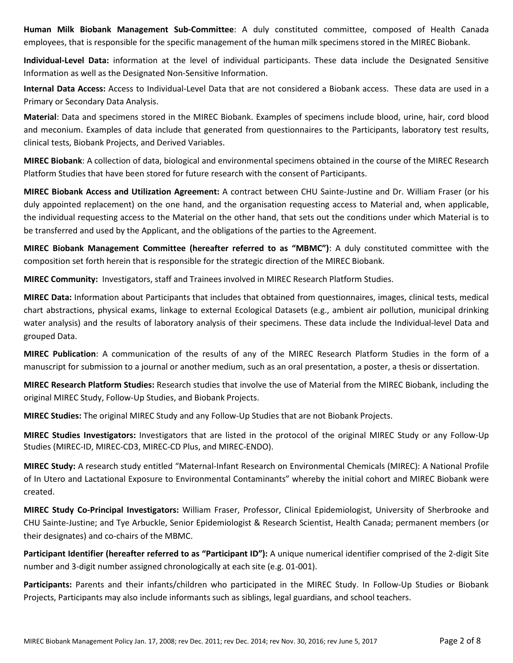**Human Milk Biobank Management Sub-Committee**: A duly constituted committee, composed of Health Canada employees, that is responsible for the specific management of the human milk specimens stored in the MIREC Biobank.

**Individual-Level Data:** information at the level of individual participants. These data include the Designated Sensitive Information as well as the Designated Non-Sensitive Information.

**Internal Data Access:** Access to Individual-Level Data that are not considered a Biobank access. These data are used in a Primary or Secondary Data Analysis.

**Material**: Data and specimens stored in the MIREC Biobank. Examples of specimens include blood, urine, hair, cord blood and meconium. Examples of data include that generated from questionnaires to the Participants, laboratory test results, clinical tests, Biobank Projects, and Derived Variables.

**MIREC Biobank**: A collection of data, biological and environmental specimens obtained in the course of the MIREC Research Platform Studies that have been stored for future research with the consent of Participants.

**MIREC Biobank Access and Utilization Agreement:** A contract between CHU Sainte-Justine and Dr. William Fraser (or his duly appointed replacement) on the one hand, and the organisation requesting access to Material and, when applicable, the individual requesting access to the Material on the other hand, that sets out the conditions under which Material is to be transferred and used by the Applicant, and the obligations of the parties to the Agreement.

**MIREC Biobank Management Committee (hereafter referred to as "MBMC")**: A duly constituted committee with the composition set forth herein that is responsible for the strategic direction of the MIREC Biobank.

**MIREC Community:** Investigators, staff and Trainees involved in MIREC Research Platform Studies.

**MIREC Data:** Information about Participants that includes that obtained from questionnaires, images, clinical tests, medical chart abstractions, physical exams, linkage to external Ecological Datasets (e.g., ambient air pollution, municipal drinking water analysis) and the results of laboratory analysis of their specimens. These data include the Individual-level Data and grouped Data.

**MIREC Publication**: A communication of the results of any of the MIREC Research Platform Studies in the form of a manuscript for submission to a journal or another medium, such as an oral presentation, a poster, a thesis or dissertation.

**MIREC Research Platform Studies:** Research studies that involve the use of Material from the MIREC Biobank, including the original MIREC Study, Follow-Up Studies, and Biobank Projects.

**MIREC Studies:** The original MIREC Study and any Follow-Up Studies that are not Biobank Projects.

**MIREC Studies Investigators:** Investigators that are listed in the protocol of the original MIREC Study or any Follow-Up Studies (MIREC-ID, MIREC-CD3, MIREC-CD Plus, and MIREC-ENDO).

**MIREC Study:** A research study entitled "Maternal-Infant Research on Environmental Chemicals (MIREC): A National Profile of In Utero and Lactational Exposure to Environmental Contaminants" whereby the initial cohort and MIREC Biobank were created.

**MIREC Study Co-Principal Investigators:** William Fraser, Professor, Clinical Epidemiologist, University of Sherbrooke and CHU Sainte-Justine; and Tye Arbuckle, Senior Epidemiologist & Research Scientist, Health Canada; permanent members (or their designates) and co-chairs of the MBMC.

**Participant Identifier (hereafter referred to as "Participant ID"):** A unique numerical identifier comprised of the 2-digit Site number and 3-digit number assigned chronologically at each site (e.g. 01-001).

**Participants:** Parents and their infants/children who participated in the MIREC Study. In Follow-Up Studies or Biobank Projects, Participants may also include informants such as siblings, legal guardians, and school teachers.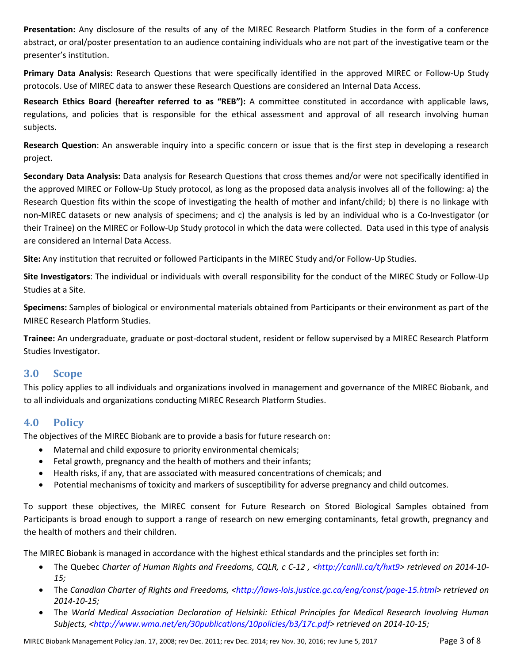**Presentation:** Any disclosure of the results of any of the MIREC Research Platform Studies in the form of a conference abstract, or oral/poster presentation to an audience containing individuals who are not part of the investigative team or the presenter's institution.

**Primary Data Analysis:** Research Questions that were specifically identified in the approved MIREC or Follow-Up Study protocols. Use of MIREC data to answer these Research Questions are considered an Internal Data Access.

**Research Ethics Board (hereafter referred to as "REB"):** A committee constituted in accordance with applicable laws, regulations, and policies that is responsible for the ethical assessment and approval of all research involving human subjects.

**Research Question**: An answerable inquiry into a specific concern or issue that is the first step in developing a research project.

**Secondary Data Analysis:** Data analysis for Research Questions that cross themes and/or were not specifically identified in the approved MIREC or Follow-Up Study protocol, as long as the proposed data analysis involves all of the following: a) the Research Question fits within the scope of investigating the health of mother and infant/child; b) there is no linkage with non-MIREC datasets or new analysis of specimens; and c) the analysis is led by an individual who is a Co-Investigator (or their Trainee) on the MIREC or Follow-Up Study protocol in which the data were collected. Data used in this type of analysis are considered an Internal Data Access.

**Site:** Any institution that recruited or followed Participants in the MIREC Study and/or Follow-Up Studies.

**Site Investigators**: The individual or individuals with overall responsibility for the conduct of the MIREC Study or Follow-Up Studies at a Site.

**Specimens:** Samples of biological or environmental materials obtained from Participants or their environment as part of the MIREC Research Platform Studies.

**Trainee:** An undergraduate, graduate or post-doctoral student, resident or fellow supervised by a MIREC Research Platform Studies Investigator.

## **3.0 Scope**

This policy applies to all individuals and organizations involved in management and governance of the MIREC Biobank, and to all individuals and organizations conducting MIREC Research Platform Studies.

# **4.0 Policy**

The objectives of the MIREC Biobank are to provide a basis for future research on:

- Maternal and child exposure to priority environmental chemicals;
- Fetal growth, pregnancy and the health of mothers and their infants;
- Health risks, if any, that are associated with measured concentrations of chemicals; and
- Potential mechanisms of toxicity and markers of susceptibility for adverse pregnancy and child outcomes.

To support these objectives, the MIREC consent for Future Research on Stored Biological Samples obtained from Participants is broad enough to support a range of research on new emerging contaminants, fetal growth, pregnancy and the health of mothers and their children.

The MIREC Biobank is managed in accordance with the highest ethical standards and the principles set forth in:

- The Quebec *Charter of Human Rights and Freedoms, CQLR, c C-12 , <http://canlii.ca/t/hxt9> retrieved on 2014-10- 15;*
- The *Canadian Charter of Rights and Freedoms, <http://laws-lois.justice.gc.ca/eng/const/page-15.html> retrieved on 2014-10-15;*
- The *World Medical Association Declaration of Helsinki: Ethical Principles for Medical Research Involving Human Subjects, <http://www.wma.net/en/30publications/10policies/b3/17c.pdf> retrieved on 2014-10-15;*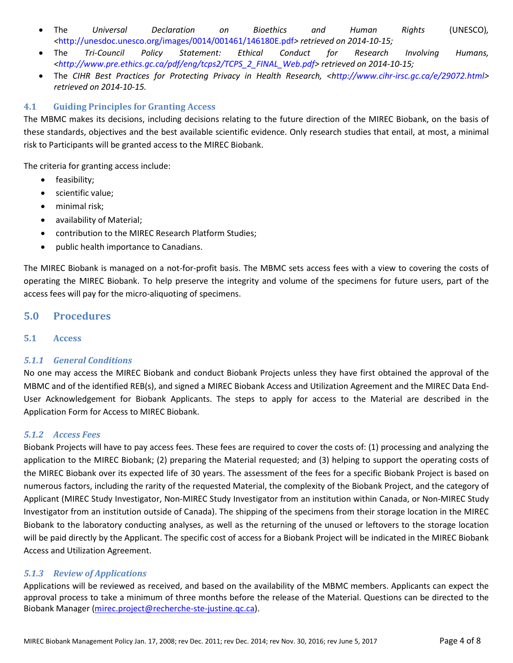- The *Universal Declaration on Bioethics and Human Rights* (UNESCO)*, <*http://unesdoc.unesco.org/images/0014/001461/146180E.pdf*> retrieved on 2014-10-15;*
- The *Tri-Council Policy Statement: Ethical Conduct for Research Involving Humans, <http://www.pre.ethics.gc.ca/pdf/eng/tcps2/TCPS\_2\_FINAL\_Web.pdf> retrieved on 2014-10-15;*
- The *CIHR Best Practices for Protecting Privacy in Health Research, <http://www.cihr-irsc.gc.ca/e/29072.html> retrieved on 2014-10-15.*

## **4.1 Guiding Principles for Granting Access**

The MBMC makes its decisions, including decisions relating to the future direction of the MIREC Biobank, on the basis of these standards, objectives and the best available scientific evidence. Only research studies that entail, at most, a minimal risk to Participants will be granted access to the MIREC Biobank.

The criteria for granting access include:

- feasibility;
- scientific value;
- minimal risk;
- availability of Material;
- contribution to the MIREC Research Platform Studies;
- public health importance to Canadians.

The MIREC Biobank is managed on a not-for-profit basis. The MBMC sets access fees with a view to covering the costs of operating the MIREC Biobank. To help preserve the integrity and volume of the specimens for future users, part of the access fees will pay for the micro-aliquoting of specimens.

## **5.0 Procedures**

## **5.1 Access**

## *5.1.1 General Conditions*

No one may access the MIREC Biobank and conduct Biobank Projects unless they have first obtained the approval of the MBMC and of the identified REB(s), and signed a MIREC Biobank Access and Utilization Agreement and the MIREC Data End-User Acknowledgement for Biobank Applicants. The steps to apply for access to the Material are described in the Application Form for Access to MIREC Biobank.

## *5.1.2 Access Fees*

Biobank Projects will have to pay access fees. These fees are required to cover the costs of: (1) processing and analyzing the application to the MIREC Biobank; (2) preparing the Material requested; and (3) helping to support the operating costs of the MIREC Biobank over its expected life of 30 years. The assessment of the fees for a specific Biobank Project is based on numerous factors, including the rarity of the requested Material, the complexity of the Biobank Project, and the category of Applicant (MIREC Study Investigator, Non-MIREC Study Investigator from an institution within Canada, or Non-MIREC Study Investigator from an institution outside of Canada). The shipping of the specimens from their storage location in the MIREC Biobank to the laboratory conducting analyses, as well as the returning of the unused or leftovers to the storage location will be paid directly by the Applicant. The specific cost of access for a Biobank Project will be indicated in the MIREC Biobank Access and Utilization Agreement.

## *5.1.3 Review of Applications*

Applications will be reviewed as received, and based on the availability of the MBMC members. Applicants can expect the approval process to take a minimum of three months before the release of the Material. Questions can be directed to the Biobank Manager [\(mirec.project@recherche-ste-justine.qc.ca\)](mailto:mirec.project@recherche-ste-justine.qc.ca).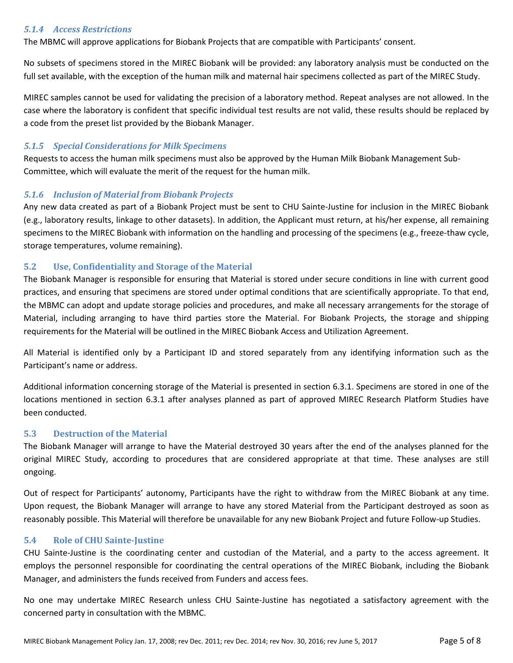### *5.1.4 Access Restrictions*

The MBMC will approve applications for Biobank Projects that are compatible with Participants' consent.

No subsets of specimens stored in the MIREC Biobank will be provided: any laboratory analysis must be conducted on the full set available, with the exception of the human milk and maternal hair specimens collected as part of the MIREC Study.

MIREC samples cannot be used for validating the precision of a laboratory method. Repeat analyses are not allowed. In the case where the laboratory is confident that specific individual test results are not valid, these results should be replaced by a code from the preset list provided by the Biobank Manager.

### *5.1.5 Special Considerations for Milk Specimens*

Requests to access the human milk specimens must also be approved by the Human Milk Biobank Management Sub-Committee, which will evaluate the merit of the request for the human milk.

#### *5.1.6 Inclusion of Material from Biobank Projects*

Any new data created as part of a Biobank Project must be sent to CHU Sainte-Justine for inclusion in the MIREC Biobank (e.g., laboratory results, linkage to other datasets). In addition, the Applicant must return, at his/her expense, all remaining specimens to the MIREC Biobank with information on the handling and processing of the specimens (e.g., freeze-thaw cycle, storage temperatures, volume remaining).

### **5.2 Use, Confidentiality and Storage of the Material**

The Biobank Manager is responsible for ensuring that Material is stored under secure conditions in line with current good practices, and ensuring that specimens are stored under optimal conditions that are scientifically appropriate. To that end, the MBMC can adopt and update storage policies and procedures, and make all necessary arrangements for the storage of Material, including arranging to have third parties store the Material. For Biobank Projects, the storage and shipping requirements for the Material will be outlined in the MIREC Biobank Access and Utilization Agreement.

All Material is identified only by a Participant ID and stored separately from any identifying information such as the Participant's name or address.

Additional information concerning storage of the Material is presented in section 6.3.1. Specimens are stored in one of the locations mentioned in section 6.3.1 after analyses planned as part of approved MIREC Research Platform Studies have been conducted.

#### **5.3 Destruction of the Material**

The Biobank Manager will arrange to have the Material destroyed 30 years after the end of the analyses planned for the original MIREC Study, according to procedures that are considered appropriate at that time. These analyses are still ongoing.

Out of respect for Participants' autonomy, Participants have the right to withdraw from the MIREC Biobank at any time. Upon request, the Biobank Manager will arrange to have any stored Material from the Participant destroyed as soon as reasonably possible. This Material will therefore be unavailable for any new Biobank Project and future Follow-up Studies.

#### **5.4 Role of CHU Sainte-Justine**

CHU Sainte-Justine is the coordinating center and custodian of the Material, and a party to the access agreement. It employs the personnel responsible for coordinating the central operations of the MIREC Biobank, including the Biobank Manager, and administers the funds received from Funders and access fees.

No one may undertake MIREC Research unless CHU Sainte-Justine has negotiated a satisfactory agreement with the concerned party in consultation with the MBMC.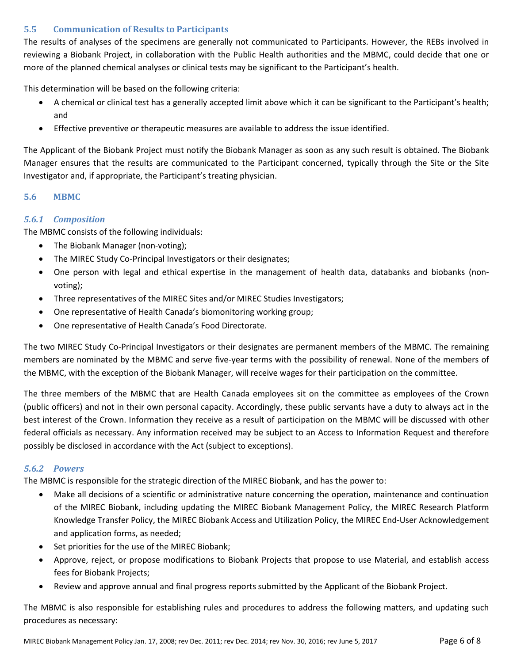## **5.5 Communication of Results to Participants**

The results of analyses of the specimens are generally not communicated to Participants. However, the REBs involved in reviewing a Biobank Project, in collaboration with the Public Health authorities and the MBMC, could decide that one or more of the planned chemical analyses or clinical tests may be significant to the Participant's health.

This determination will be based on the following criteria:

- A chemical or clinical test has a generally accepted limit above which it can be significant to the Participant's health; and
- Effective preventive or therapeutic measures are available to address the issue identified.

The Applicant of the Biobank Project must notify the Biobank Manager as soon as any such result is obtained. The Biobank Manager ensures that the results are communicated to the Participant concerned, typically through the Site or the Site Investigator and, if appropriate, the Participant's treating physician.

### **5.6 MBMC**

## *5.6.1 Composition*

The MBMC consists of the following individuals:

- The Biobank Manager (non-voting);
- The MIREC Study Co-Principal Investigators or their designates;
- One person with legal and ethical expertise in the management of health data, databanks and biobanks (nonvoting);
- Three representatives of the MIREC Sites and/or MIREC Studies Investigators;
- One representative of Health Canada's biomonitoring working group;
- One representative of Health Canada's Food Directorate.

The two MIREC Study Co-Principal Investigators or their designates are permanent members of the MBMC. The remaining members are nominated by the MBMC and serve five-year terms with the possibility of renewal. None of the members of the MBMC, with the exception of the Biobank Manager, will receive wages for their participation on the committee.

The three members of the MBMC that are Health Canada employees sit on the committee as employees of the Crown (public officers) and not in their own personal capacity. Accordingly, these public servants have a duty to always act in the best interest of the Crown. Information they receive as a result of participation on the MBMC will be discussed with other federal officials as necessary. Any information received may be subject to an Access to Information Request and therefore possibly be disclosed in accordance with the Act (subject to exceptions).

### *5.6.2 Powers*

The MBMC is responsible for the strategic direction of the MIREC Biobank, and has the power to:

- Make all decisions of a scientific or administrative nature concerning the operation, maintenance and continuation of the MIREC Biobank, including updating the MIREC Biobank Management Policy, the MIREC Research Platform Knowledge Transfer Policy, the MIREC Biobank Access and Utilization Policy, the MIREC End-User Acknowledgement and application forms, as needed;
- Set priorities for the use of the MIREC Biobank;
- Approve, reject, or propose modifications to Biobank Projects that propose to use Material, and establish access fees for Biobank Projects;
- Review and approve annual and final progress reports submitted by the Applicant of the Biobank Project.

The MBMC is also responsible for establishing rules and procedures to address the following matters, and updating such procedures as necessary: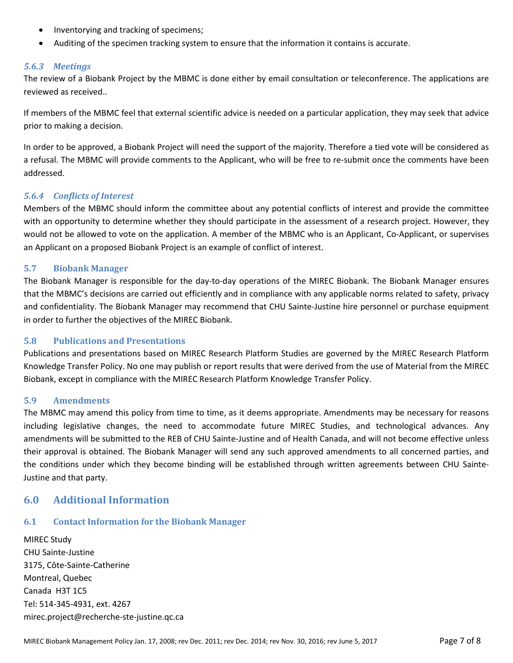- Inventorying and tracking of specimens;
- Auditing of the specimen tracking system to ensure that the information it contains is accurate.

## *5.6.3 Meetings*

The review of a Biobank Project by the MBMC is done either by email consultation or teleconference. The applications are reviewed as received..

If members of the MBMC feel that external scientific advice is needed on a particular application, they may seek that advice prior to making a decision.

In order to be approved, a Biobank Project will need the support of the majority. Therefore a tied vote will be considered as a refusal. The MBMC will provide comments to the Applicant, who will be free to re-submit once the comments have been addressed.

### *5.6.4 Conflicts of Interest*

Members of the MBMC should inform the committee about any potential conflicts of interest and provide the committee with an opportunity to determine whether they should participate in the assessment of a research project. However, they would not be allowed to vote on the application. A member of the MBMC who is an Applicant, Co-Applicant, or supervises an Applicant on a proposed Biobank Project is an example of conflict of interest.

### **5.7 Biobank Manager**

The Biobank Manager is responsible for the day-to-day operations of the MIREC Biobank. The Biobank Manager ensures that the MBMC's decisions are carried out efficiently and in compliance with any applicable norms related to safety, privacy and confidentiality. The Biobank Manager may recommend that CHU Sainte-Justine hire personnel or purchase equipment in order to further the objectives of the MIREC Biobank.

### **5.8 Publications and Presentations**

Publications and presentations based on MIREC Research Platform Studies are governed by the MIREC Research Platform Knowledge Transfer Policy. No one may publish or report results that were derived from the use of Material from the MIREC Biobank, except in compliance with the MIREC Research Platform Knowledge Transfer Policy.

### **5.9 Amendments**

The MBMC may amend this policy from time to time, as it deems appropriate. Amendments may be necessary for reasons including legislative changes, the need to accommodate future MIREC Studies, and technological advances. Any amendments will be submitted to the REB of CHU Sainte-Justine and of Health Canada, and will not become effective unless their approval is obtained. The Biobank Manager will send any such approved amendments to all concerned parties, and the conditions under which they become binding will be established through written agreements between CHU Sainte-Justine and that party.

## **6.0 Additional Information**

### **6.1 Contact Information for the Biobank Manager**

MIREC Study CHU Sainte-Justine 3175, Côte-Sainte-Catherine Montreal, Quebec Canada H3T 1C5 Tel: 514-345-4931, ext. 4267 mirec.project@recherche-ste-justine.qc.ca